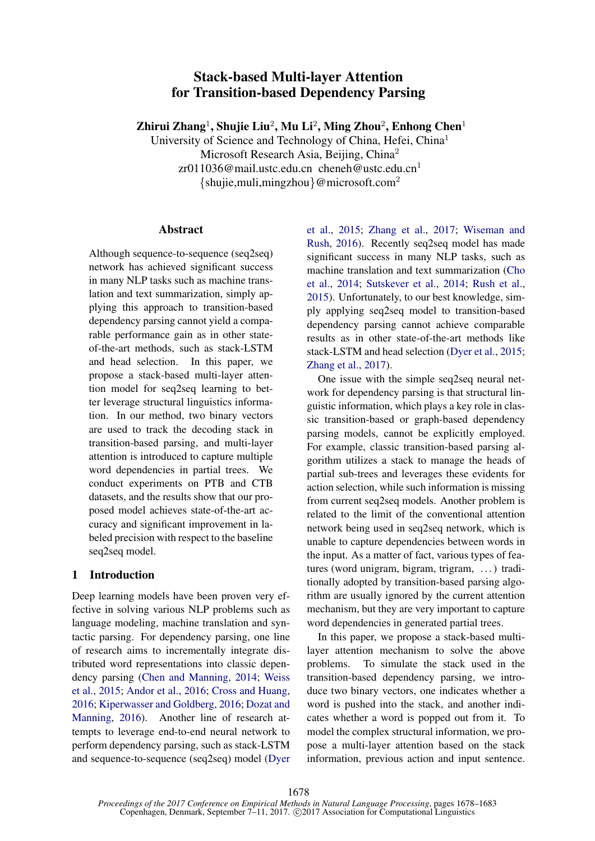# Stack-based Multi-layer Attention for Transition-based Dependency Parsing

Zhirui Zhang $^1$ , Shujie Liu $^2$ , Mu Li $^2$ , Ming Zhou $^2$ , Enhong Chen $^1$ 

University of Science and Technology of China, Hefei, China<sup>1</sup> Microsoft Research Asia, Beijing, China<sup>2</sup>  $zr011036@mail.$ ustc.edu.cn cheneh@ustc.edu.cn<sup>1</sup>  $\{\text{shujie,muli}, \text{mingzhou}\}$ @microsoft.com<sup>2</sup>

### Abstract

Although sequence-to-sequence (seq2seq) network has achieved significant success in many NLP tasks such as machine translation and text summarization, simply applying this approach to transition-based dependency parsing cannot yield a comparable performance gain as in other stateof-the-art methods, such as stack-LSTM and head selection. In this paper, we propose a stack-based multi-layer attention model for seq2seq learning to better leverage structural linguistics information. In our method, two binary vectors are used to track the decoding stack in transition-based parsing, and multi-layer attention is introduced to capture multiple word dependencies in partial trees. We conduct experiments on PTB and CTB datasets, and the results show that our proposed model achieves state-of-the-art accuracy and significant improvement in labeled precision with respect to the baseline seq2seq model.

# 1 Introduction

Deep learning models have been proven very effective in solving various NLP problems such as language modeling, machine translation and syntactic parsing. For dependency parsing, one line of research aims to incrementally integrate distributed word representations into classic dependency parsing (Chen and Manning, 2014; Weiss et al., 2015; Andor et al., 2016; Cross and Huang, 2016; Kiperwasser and Goldberg, 2016; Dozat and Manning, 2016). Another line of research attempts to leverage end-to-end neural network to perform dependency parsing, such as stack-LSTM and sequence-to-sequence (seq2seq) model (Dyer et al., 2015; Zhang et al., 2017; Wiseman and Rush, 2016). Recently seq2seq model has made significant success in many NLP tasks, such as machine translation and text summarization (Cho et al., 2014; Sutskever et al., 2014; Rush et al., 2015). Unfortunately, to our best knowledge, simply applying seq2seq model to transition-based dependency parsing cannot achieve comparable results as in other state-of-the-art methods like stack-LSTM and head selection (Dyer et al., 2015; Zhang et al., 2017).

One issue with the simple seq2seq neural network for dependency parsing is that structural linguistic information, which plays a key role in classic transition-based or graph-based dependency parsing models, cannot be explicitly employed. For example, classic transition-based parsing algorithm utilizes a stack to manage the heads of partial sub-trees and leverages these evidents for action selection, while such information is missing from current seq2seq models. Another problem is related to the limit of the conventional attention network being used in seq2seq network, which is unable to capture dependencies between words in the input. As a matter of fact, various types of features (word unigram, bigram, trigram, . . . ) traditionally adopted by transition-based parsing algorithm are usually ignored by the current attention mechanism, but they are very important to capture word dependencies in generated partial trees.

In this paper, we propose a stack-based multilayer attention mechanism to solve the above problems. To simulate the stack used in the transition-based dependency parsing, we introduce two binary vectors, one indicates whether a word is pushed into the stack, and another indicates whether a word is popped out from it. To model the complex structural information, we propose a multi-layer attention based on the stack information, previous action and input sentence.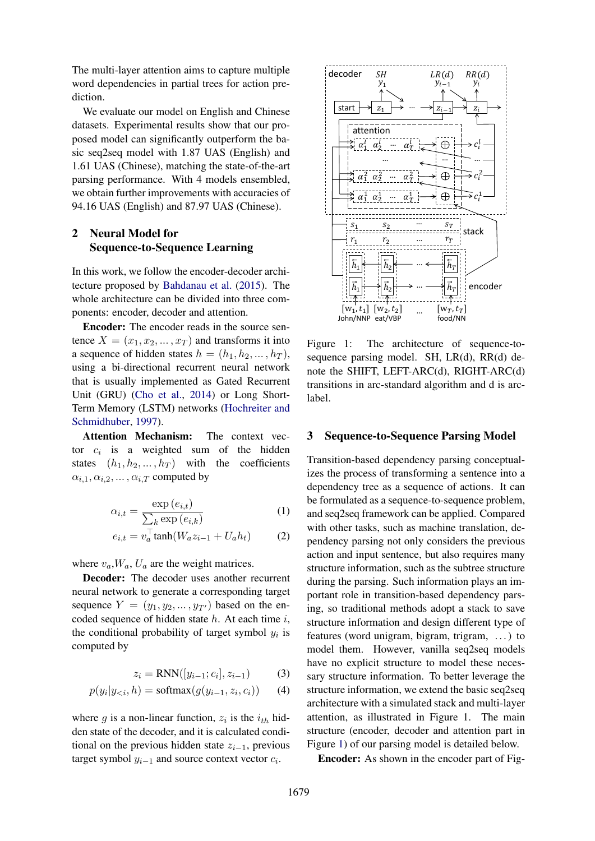The multi-layer attention aims to capture multiple word dependencies in partial trees for action prediction.

We evaluate our model on English and Chinese datasets. Experimental results show that our proposed model can significantly outperform the basic seq2seq model with 1.87 UAS (English) and 1.61 UAS (Chinese), matching the state-of-the-art parsing performance. With 4 models ensembled, we obtain further improvements with accuracies of 94.16 UAS (English) and 87.97 UAS (Chinese).

## 2 Neural Model for Sequence-to-Sequence Learning

In this work, we follow the encoder-decoder architecture proposed by Bahdanau et al. (2015). The whole architecture can be divided into three components: encoder, decoder and attention.

Encoder: The encoder reads in the source sentence  $X = (x_1, x_2, \dots, x_T)$  and transforms it into a sequence of hidden states  $h = (h_1, h_2, \dots, h_T)$ , using a bi-directional recurrent neural network that is usually implemented as Gated Recurrent Unit (GRU) (Cho et al., 2014) or Long Short-Term Memory (LSTM) networks (Hochreiter and Schmidhuber, 1997).

Attention Mechanism: The context vector  $c_i$  is a weighted sum of the hidden states  $(h_1, h_2, \ldots, h_T)$  with the coefficients  $\alpha_{i,1}, \alpha_{i,2}, \ldots, \alpha_{i,T}$  computed by

$$
\alpha_{i,t} = \frac{\exp\left(e_{i,t}\right)}{\sum_{k} \exp\left(e_{i,k}\right)}\tag{1}
$$

$$
e_{i,t} = v_a^{\top} \tanh(W_a z_{i-1} + U_a h_t) \tag{2}
$$

where  $v_a$ ,  $W_a$ ,  $U_a$  are the weight matrices.

Decoder: The decoder uses another recurrent neural network to generate a corresponding target sequence  $Y = (y_1, y_2, \dots, y_{T'})$  based on the encoded sequence of hidden state  $h$ . At each time  $i$ , the conditional probability of target symbol  $y_i$  is computed by

$$
z_i = RNN([y_{i-1}; c_i], z_{i-1})
$$
 (3)

$$
p(y_i|y_{< i}, h) = \text{softmax}(g(y_{i-1}, z_i, c_i)) \qquad (4)
$$

where g is a non-linear function,  $z_i$  is the  $i_{th}$  hidden state of the decoder, and it is calculated conditional on the previous hidden state  $z_{i-1}$ , previous target symbol  $y_{i-1}$  and source context vector  $c_i$ .



Figure 1: The architecture of sequence-tosequence parsing model. SH, LR(d), RR(d) denote the SHIFT, LEFT-ARC(d), RIGHT-ARC(d) transitions in arc-standard algorithm and d is arclabel.

#### 3 Sequence-to-Sequence Parsing Model

Transition-based dependency parsing conceptualizes the process of transforming a sentence into a dependency tree as a sequence of actions. It can be formulated as a sequence-to-sequence problem, and seq2seq framework can be applied. Compared with other tasks, such as machine translation, dependency parsing not only considers the previous action and input sentence, but also requires many structure information, such as the subtree structure during the parsing. Such information plays an important role in transition-based dependency parsing, so traditional methods adopt a stack to save structure information and design different type of features (word unigram, bigram, trigram, . . . ) to model them. However, vanilla seq2seq models have no explicit structure to model these necessary structure information. To better leverage the structure information, we extend the basic seq2seq architecture with a simulated stack and multi-layer attention, as illustrated in Figure 1. The main structure (encoder, decoder and attention part in Figure 1) of our parsing model is detailed below.

Encoder: As shown in the encoder part of Fig-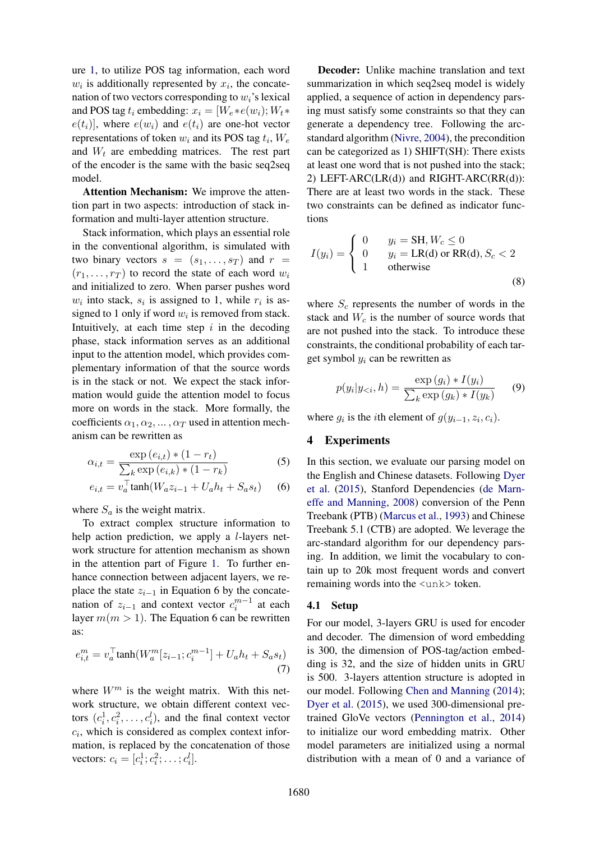ure 1, to utilize POS tag information, each word  $w_i$  is additionally represented by  $x_i$ , the concatenation of two vectors corresponding to  $w_i$ 's lexical and POS tag  $t_i$  embedding:  $x_i = [W_e * e(w_i); W_t *$  $e(t_i)$ , where  $e(w_i)$  and  $e(t_i)$  are one-hot vector representations of token  $w_i$  and its POS tag  $t_i$ ,  $W_e$ and  $W_t$  are embedding matrices. The rest part of the encoder is the same with the basic seq2seq model.

Attention Mechanism: We improve the attention part in two aspects: introduction of stack information and multi-layer attention structure.

Stack information, which plays an essential role in the conventional algorithm, is simulated with two binary vectors  $s = (s_1, \ldots, s_T)$  and  $r =$  $(r_1, \ldots, r_T)$  to record the state of each word  $w_i$ and initialized to zero. When parser pushes word  $w_i$  into stack,  $s_i$  is assigned to 1, while  $r_i$  is assigned to 1 only if word  $w_i$  is removed from stack. Intuitively, at each time step  $i$  in the decoding phase, stack information serves as an additional input to the attention model, which provides complementary information of that the source words is in the stack or not. We expect the stack information would guide the attention model to focus more on words in the stack. More formally, the coefficients  $\alpha_1, \alpha_2, \dots, \alpha_T$  used in attention mechanism can be rewritten as

$$
\alpha_{i,t} = \frac{\exp(e_{i,t}) * (1 - r_t)}{\sum_k \exp(e_{i,k}) * (1 - r_k)}
$$
(5)

$$
e_{i,t} = v_a^{\top} \tanh(W_a z_{i-1} + U_a h_t + S_a s_t) \tag{6}
$$

where  $S_a$  is the weight matrix.

To extract complex structure information to help action prediction, we apply a *l*-layers network structure for attention mechanism as shown in the attention part of Figure 1. To further enhance connection between adjacent layers, we replace the state  $z_{i-1}$  in Equation 6 by the concatenation of  $z_{i-1}$  and context vector  $c_i^{m-1}$  at each layer  $m(m > 1)$ . The Equation 6 can be rewritten as:

$$
e_{i,t}^{m} = v_a^{\top} \tanh(W_a^{m}[z_{i-1}; c_i^{m-1}] + U_a h_t + S_a s_t)
$$
\n(7)

where  $W^m$  is the weight matrix. With this network structure, we obtain different context vectors  $(c_i^1, c_i^2, \dots, c_i^l)$ , and the final context vector  $c_i$ , which is considered as complex context information, is replaced by the concatenation of those vectors:  $c_i = [c_i^1; c_i^2; \dots; c_i^l].$ 

Decoder: Unlike machine translation and text summarization in which seq2seq model is widely applied, a sequence of action in dependency parsing must satisfy some constraints so that they can generate a dependency tree. Following the arcstandard algorithm (Nivre, 2004), the precondition can be categorized as 1) SHIFT(SH): There exists at least one word that is not pushed into the stack; 2) LEFT-ARC(LR(d)) and RIGHT-ARC(RR(d)): There are at least two words in the stack. These two constraints can be defined as indicator functions

$$
I(y_i) = \begin{cases} 0 & y_i = \text{SH}, W_c \le 0\\ 0 & y_i = \text{LR(d)} \text{ or } \text{RR(d)}, S_c < 2\\ 1 & \text{otherwise} \end{cases}
$$
(8)

where  $S_c$  represents the number of words in the stack and  $W_c$  is the number of source words that are not pushed into the stack. To introduce these constraints, the conditional probability of each target symbol  $y_i$  can be rewritten as

$$
p(y_i|y_{< i}, h) = \frac{\exp\left(g_i\right) * I(y_i)}{\sum_k \exp\left(g_k\right) * I(y_k)}\tag{9}
$$

where  $g_i$  is the *i*th element of  $g(y_{i-1}, z_i, c_i)$ .

### 4 Experiments

In this section, we evaluate our parsing model on the English and Chinese datasets. Following Dyer et al. (2015), Stanford Dependencies (de Marneffe and Manning, 2008) conversion of the Penn Treebank (PTB) (Marcus et al., 1993) and Chinese Treebank 5.1 (CTB) are adopted. We leverage the arc-standard algorithm for our dependency parsing. In addition, we limit the vocabulary to contain up to 20k most frequent words and convert remaining words into the <unk> token.

### 4.1 Setup

For our model, 3-layers GRU is used for encoder and decoder. The dimension of word embedding is 300, the dimension of POS-tag/action embedding is 32, and the size of hidden units in GRU is 500. 3-layers attention structure is adopted in our model. Following Chen and Manning (2014); Dyer et al. (2015), we used 300-dimensional pretrained GloVe vectors (Pennington et al., 2014) to initialize our word embedding matrix. Other model parameters are initialized using a normal distribution with a mean of 0 and a variance of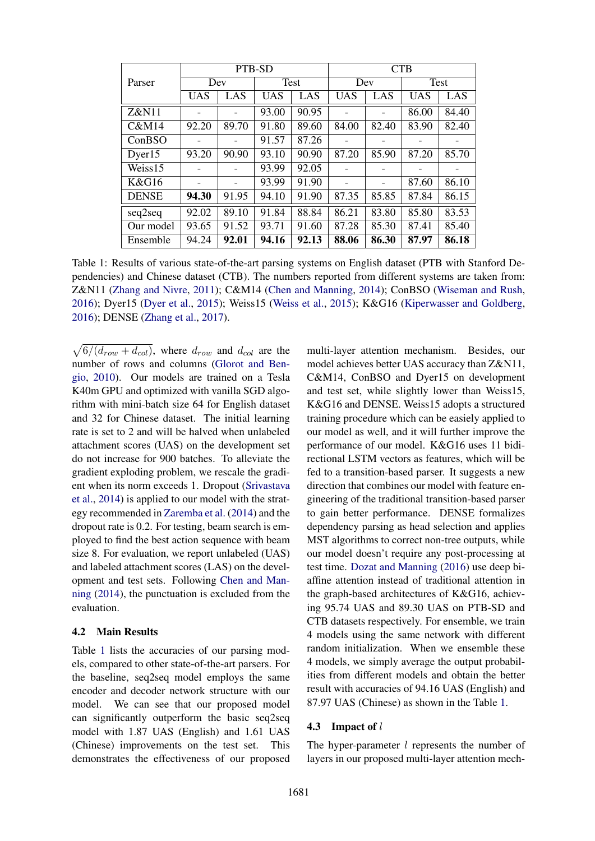|                  | PTB-SD                   |       |            |       | <b>CTB</b> |       |             |       |
|------------------|--------------------------|-------|------------|-------|------------|-------|-------------|-------|
| Parser           | Dev                      |       | Test       |       | Dev        |       | <b>Test</b> |       |
|                  | <b>UAS</b>               | LAS   | <b>UAS</b> | LAS   | <b>UAS</b> | LAS   | <b>UAS</b>  | LAS   |
| Z&N11            | $\overline{\phantom{0}}$ |       | 93.00      | 90.95 |            |       | 86.00       | 84.40 |
| C&M14            | 92.20                    | 89.70 | 91.80      | 89.60 | 84.00      | 82.40 | 83.90       | 82.40 |
| ConBSO           |                          |       | 91.57      | 87.26 |            |       |             |       |
| Dyer15           | 93.20                    | 90.90 | 93.10      | 90.90 | 87.20      | 85.90 | 87.20       | 85.70 |
| Weiss15          |                          |       | 93.99      | 92.05 |            |       |             |       |
| <b>K&amp;G16</b> | -                        |       | 93.99      | 91.90 |            | -     | 87.60       | 86.10 |
| <b>DENSE</b>     | 94.30                    | 91.95 | 94.10      | 91.90 | 87.35      | 85.85 | 87.84       | 86.15 |
| seq2seq          | 92.02                    | 89.10 | 91.84      | 88.84 | 86.21      | 83.80 | 85.80       | 83.53 |
| Our model        | 93.65                    | 91.52 | 93.71      | 91.60 | 87.28      | 85.30 | 87.41       | 85.40 |
| Ensemble         | 94.24                    | 92.01 | 94.16      | 92.13 | 88.06      | 86.30 | 87.97       | 86.18 |

Table 1: Results of various state-of-the-art parsing systems on English dataset (PTB with Stanford Dependencies) and Chinese dataset (CTB). The numbers reported from different systems are taken from: Z&N11 (Zhang and Nivre, 2011); C&M14 (Chen and Manning, 2014); ConBSO (Wiseman and Rush, 2016); Dyer15 (Dyer et al., 2015); Weiss15 (Weiss et al., 2015); K&G16 (Kiperwasser and Goldberg, 2016); DENSE (Zhang et al., 2017).

 $\sqrt{6/(d_{row} + d_{col})}$ , where  $d_{row}$  and  $d_{col}$  are the number of rows and columns (Glorot and Bengio, 2010). Our models are trained on a Tesla K40m GPU and optimized with vanilla SGD algorithm with mini-batch size 64 for English dataset and 32 for Chinese dataset. The initial learning rate is set to 2 and will be halved when unlabeled attachment scores (UAS) on the development set do not increase for 900 batches. To alleviate the gradient exploding problem, we rescale the gradient when its norm exceeds 1. Dropout (Srivastava et al., 2014) is applied to our model with the strategy recommended in Zaremba et al. (2014) and the dropout rate is 0.2. For testing, beam search is employed to find the best action sequence with beam size 8. For evaluation, we report unlabeled (UAS) and labeled attachment scores (LAS) on the development and test sets. Following Chen and Manning (2014), the punctuation is excluded from the evaluation.

### 4.2 Main Results

Table 1 lists the accuracies of our parsing models, compared to other state-of-the-art parsers. For the baseline, seq2seq model employs the same encoder and decoder network structure with our model. We can see that our proposed model can significantly outperform the basic seq2seq model with 1.87 UAS (English) and 1.61 UAS (Chinese) improvements on the test set. This demonstrates the effectiveness of our proposed

multi-layer attention mechanism. Besides, our model achieves better UAS accuracy than Z&N11, C&M14, ConBSO and Dyer15 on development and test set, while slightly lower than Weiss15, K&G16 and DENSE. Weiss15 adopts a structured training procedure which can be easiely applied to our model as well, and it will further improve the performance of our model. K&G16 uses 11 bidirectional LSTM vectors as features, which will be fed to a transition-based parser. It suggests a new direction that combines our model with feature engineering of the traditional transition-based parser to gain better performance. DENSE formalizes dependency parsing as head selection and applies MST algorithms to correct non-tree outputs, while our model doesn't require any post-processing at test time. Dozat and Manning (2016) use deep biaffine attention instead of traditional attention in the graph-based architectures of K&G16, achieving 95.74 UAS and 89.30 UAS on PTB-SD and CTB datasets respectively. For ensemble, we train 4 models using the same network with different random initialization. When we ensemble these 4 models, we simply average the output probabilities from different models and obtain the better result with accuracies of 94.16 UAS (English) and 87.97 UAS (Chinese) as shown in the Table 1.

#### 4.3 Impact of l

The hyper-parameter  $l$  represents the number of layers in our proposed multi-layer attention mech-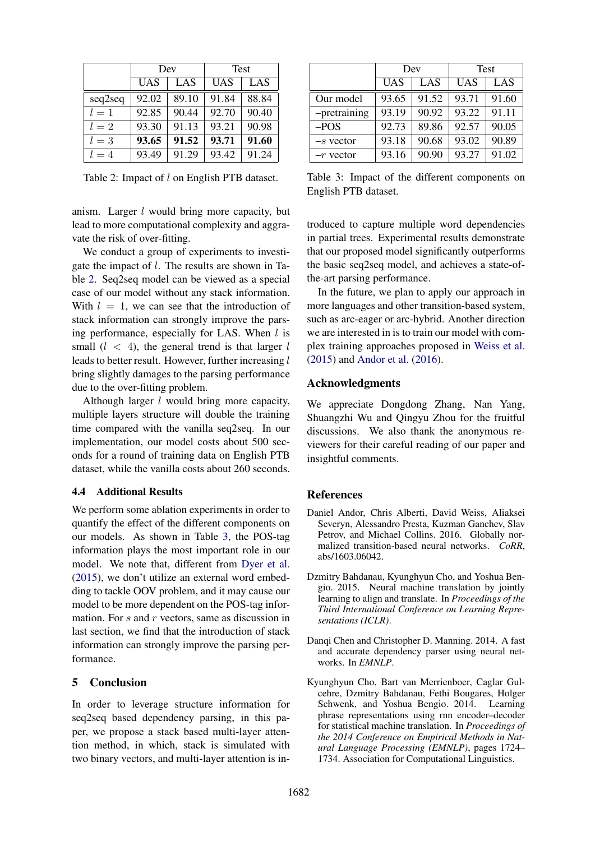|         | Dev        |       | Test       |       |  |
|---------|------------|-------|------------|-------|--|
|         | <b>UAS</b> | LAS   | <b>UAS</b> | LAS   |  |
| seq2seq | 92.02      | 89.10 | 91.84      | 88.84 |  |
| $l=1$   | 92.85      | 90.44 | 92.70      | 90.40 |  |
| $l=2$   | 93.30      | 91.13 | 93.21      | 90.98 |  |
| $l=3$   | 93.65      | 91.52 | 93.71      | 91.60 |  |
| $l=4$   | 93.49      | 91.29 | 93.42      | 91.24 |  |

Table 2: Impact of l on English PTB dataset.

anism. Larger l would bring more capacity, but lead to more computational complexity and aggravate the risk of over-fitting.

We conduct a group of experiments to investigate the impact of l. The results are shown in Table 2. Seq2seq model can be viewed as a special case of our model without any stack information. With  $l = 1$ , we can see that the introduction of stack information can strongly improve the parsing performance, especially for LAS. When  $l$  is small  $(l < 4)$ , the general trend is that larger l leads to better result. However, further increasing l bring slightly damages to the parsing performance due to the over-fitting problem.

Although larger *l* would bring more capacity, multiple layers structure will double the training time compared with the vanilla seq2seq. In our implementation, our model costs about 500 seconds for a round of training data on English PTB dataset, while the vanilla costs about 260 seconds.

### 4.4 Additional Results

We perform some ablation experiments in order to quantify the effect of the different components on our models. As shown in Table 3, the POS-tag information plays the most important role in our model. We note that, different from Dyer et al. (2015), we don't utilize an external word embedding to tackle OOV problem, and it may cause our model to be more dependent on the POS-tag information. For  $s$  and  $r$  vectors, same as discussion in last section, we find that the introduction of stack information can strongly improve the parsing performance.

### 5 Conclusion

In order to leverage structure information for seq2seq based dependency parsing, in this paper, we propose a stack based multi-layer attention method, in which, stack is simulated with two binary vectors, and multi-layer attention is in-

|              | Dev        |       | <b>Test</b> |       |  |
|--------------|------------|-------|-------------|-------|--|
|              | <b>UAS</b> | LAS   | <b>UAS</b>  | LAS   |  |
| Our model    | 93.65      | 91.52 | 93.71       | 91.60 |  |
| -pretraining | 93.19      | 90.92 | 93.22       | 91.11 |  |
| $-POS$       | 92.73      | 89.86 | 92.57       | 90.05 |  |
| $-s$ vector  | 93.18      | 90.68 | 93.02       | 90.89 |  |
| $-r$ vector  | 93.16      | 90.90 | 93.27       | 91.02 |  |

Table 3: Impact of the different components on English PTB dataset.

troduced to capture multiple word dependencies in partial trees. Experimental results demonstrate that our proposed model significantly outperforms the basic seq2seq model, and achieves a state-ofthe-art parsing performance.

In the future, we plan to apply our approach in more languages and other transition-based system, such as arc-eager or arc-hybrid. Another direction we are interested in is to train our model with complex training approaches proposed in Weiss et al. (2015) and Andor et al. (2016).

### Acknowledgments

We appreciate Dongdong Zhang, Nan Yang, Shuangzhi Wu and Qingyu Zhou for the fruitful discussions. We also thank the anonymous reviewers for their careful reading of our paper and insightful comments.

#### References

- Daniel Andor, Chris Alberti, David Weiss, Aliaksei Severyn, Alessandro Presta, Kuzman Ganchev, Slav Petrov, and Michael Collins. 2016. Globally normalized transition-based neural networks. *CoRR*, abs/1603.06042.
- Dzmitry Bahdanau, Kyunghyun Cho, and Yoshua Bengio. 2015. Neural machine translation by jointly learning to align and translate. In *Proceedings of the Third International Conference on Learning Representations (ICLR)*.
- Danqi Chen and Christopher D. Manning. 2014. A fast and accurate dependency parser using neural networks. In *EMNLP*.
- Kyunghyun Cho, Bart van Merrienboer, Caglar Gulcehre, Dzmitry Bahdanau, Fethi Bougares, Holger Schwenk, and Yoshua Bengio. 2014. Learning phrase representations using rnn encoder–decoder for statistical machine translation. In *Proceedings of the 2014 Conference on Empirical Methods in Natural Language Processing (EMNLP)*, pages 1724– 1734. Association for Computational Linguistics.